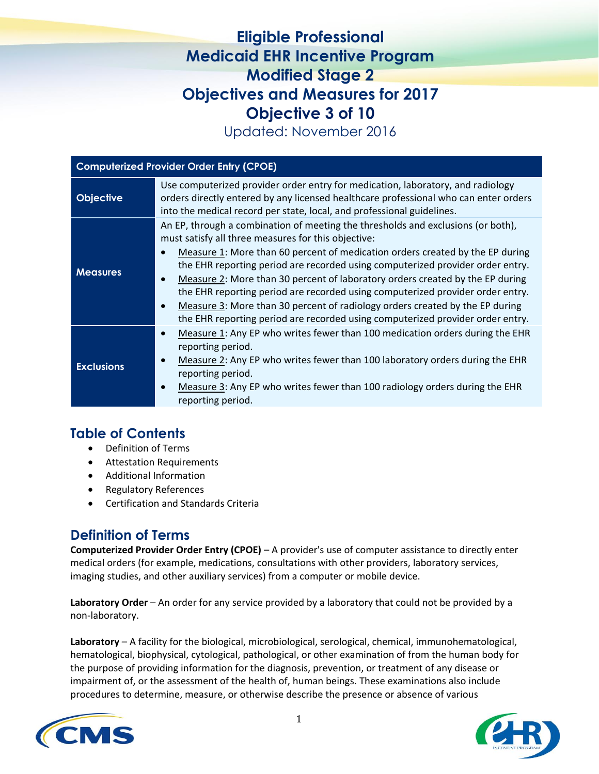# **Eligible Professional Medicaid EHR Incentive Program Modified Stage 2 Objectives and Measures for 2017 Objective 3 of 10**

Updated: November 2016

| <b>Computerized Provider Order Entry (CPOE)</b> |                                                                                                                                                                                                                                                                                                                                                                                                                                                                                                                                                                                                                                                              |
|-------------------------------------------------|--------------------------------------------------------------------------------------------------------------------------------------------------------------------------------------------------------------------------------------------------------------------------------------------------------------------------------------------------------------------------------------------------------------------------------------------------------------------------------------------------------------------------------------------------------------------------------------------------------------------------------------------------------------|
| <b>Objective</b>                                | Use computerized provider order entry for medication, laboratory, and radiology<br>orders directly entered by any licensed healthcare professional who can enter orders<br>into the medical record per state, local, and professional guidelines.                                                                                                                                                                                                                                                                                                                                                                                                            |
| <b>Measures</b>                                 | An EP, through a combination of meeting the thresholds and exclusions (or both),<br>must satisfy all three measures for this objective:<br>Measure 1: More than 60 percent of medication orders created by the EP during<br>the EHR reporting period are recorded using computerized provider order entry.<br>Measure 2: More than 30 percent of laboratory orders created by the EP during<br>the EHR reporting period are recorded using computerized provider order entry.<br>Measure 3: More than 30 percent of radiology orders created by the EP during<br>$\bullet$<br>the EHR reporting period are recorded using computerized provider order entry. |
| <b>Exclusions</b>                               | Measure 1: Any EP who writes fewer than 100 medication orders during the EHR<br>$\bullet$<br>reporting period.<br>Measure 2: Any EP who writes fewer than 100 laboratory orders during the EHR<br>reporting period.<br>Measure 3: Any EP who writes fewer than 100 radiology orders during the EHR<br>$\bullet$<br>reporting period.                                                                                                                                                                                                                                                                                                                         |

## **Table of Contents**

- Definition of Terms
- Attestation Requirements
- Additional Information
- Regulatory References
- Certification and Standards Criteria

## **Definition of Terms**

**Computerized Provider Order Entry (CPOE)** – A provider's use of computer assistance to directly enter medical orders (for example, medications, consultations with other providers, laboratory services, imaging studies, and other auxiliary services) from a computer or mobile device.

**Laboratory Order** – An order for any service provided by a laboratory that could not be provided by a non-laboratory.

**Laboratory** – A facility for the biological, microbiological, serological, chemical, immunohematological, hematological, biophysical, cytological, pathological, or other examination of from the human body for the purpose of providing information for the diagnosis, prevention, or treatment of any disease or impairment of, or the assessment of the health of, human beings. These examinations also include procedures to determine, measure, or otherwise describe the presence or absence of various

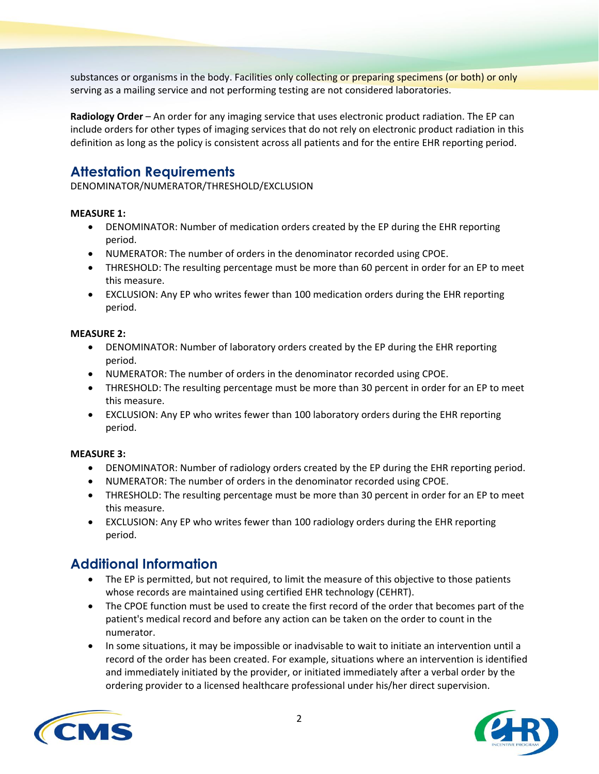substances or organisms in the body. Facilities only collecting or preparing specimens (or both) or only serving as a mailing service and not performing testing are not considered laboratories.

**Radiology Order** – An order for any imaging service that uses electronic product radiation. The EP can include orders for other types of imaging services that do not rely on electronic product radiation in this definition as long as the policy is consistent across all patients and for the entire EHR reporting period.

# **Attestation Requirements**

DENOMINATOR/NUMERATOR/THRESHOLD/EXCLUSION

#### **MEASURE 1:**

- DENOMINATOR: Number of medication orders created by the EP during the EHR reporting period.
- NUMERATOR: The number of orders in the denominator recorded using CPOE.
- THRESHOLD: The resulting percentage must be more than 60 percent in order for an EP to meet this measure.
- EXCLUSION: Any EP who writes fewer than 100 medication orders during the EHR reporting period.

#### **MEASURE 2:**

- DENOMINATOR: Number of laboratory orders created by the EP during the EHR reporting period.
- NUMERATOR: The number of orders in the denominator recorded using CPOE.
- THRESHOLD: The resulting percentage must be more than 30 percent in order for an EP to meet this measure.
- EXCLUSION: Any EP who writes fewer than 100 laboratory orders during the EHR reporting period.

#### **MEASURE 3:**

- DENOMINATOR: Number of radiology orders created by the EP during the EHR reporting period.
- NUMERATOR: The number of orders in the denominator recorded using CPOE.
- THRESHOLD: The resulting percentage must be more than 30 percent in order for an EP to meet this measure.
- EXCLUSION: Any EP who writes fewer than 100 radiology orders during the EHR reporting period.

### **Additional Information**

- The EP is permitted, but not required, to limit the measure of this objective to those patients whose records are maintained using certified EHR technology (CEHRT).
- The CPOE function must be used to create the first record of the order that becomes part of the patient's medical record and before any action can be taken on the order to count in the numerator.
- In some situations, it may be impossible or inadvisable to wait to initiate an intervention until a record of the order has been created. For example, situations where an intervention is identified and immediately initiated by the provider, or initiated immediately after a verbal order by the ordering provider to a licensed healthcare professional under his/her direct supervision.